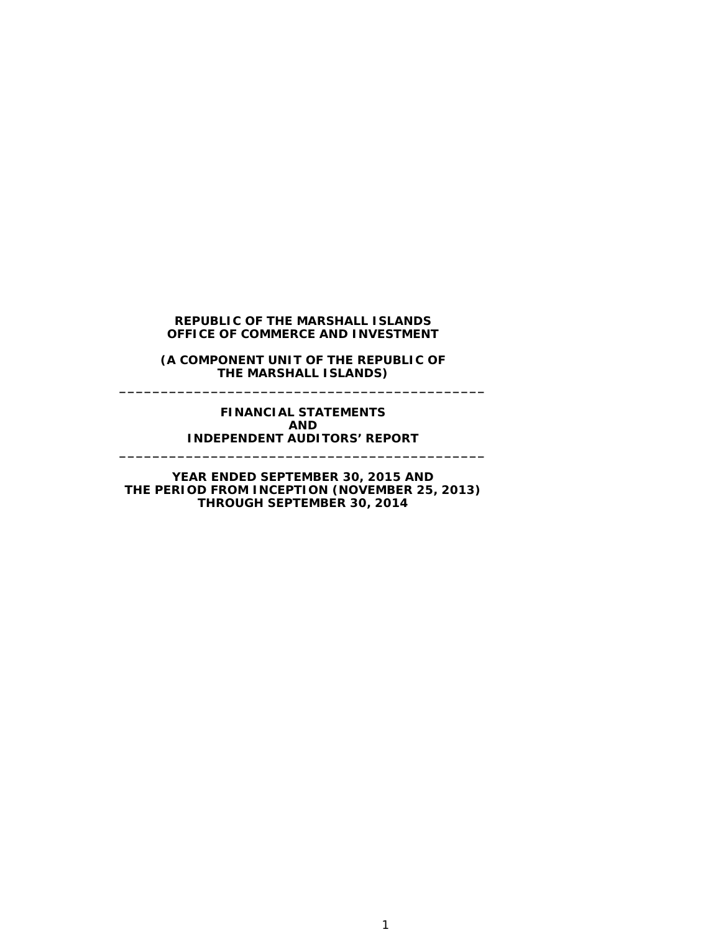**(A COMPONENT UNIT OF THE REPUBLIC OF THE MARSHALL ISLANDS) \_\_\_\_\_\_\_\_\_\_\_\_\_\_\_\_\_\_\_\_\_\_\_\_\_\_\_\_\_\_\_\_\_\_\_\_\_\_\_\_\_\_\_\_**

#### **FINANCIAL STATEMENTS AND INDEPENDENT AUDITORS' REPORT**

**\_\_\_\_\_\_\_\_\_\_\_\_\_\_\_\_\_\_\_\_\_\_\_\_\_\_\_\_\_\_\_\_\_\_\_\_\_\_\_\_\_\_\_\_**

**YEAR ENDED SEPTEMBER 30, 2015 AND THE PERIOD FROM INCEPTION (NOVEMBER 25, 2013) THROUGH SEPTEMBER 30, 2014**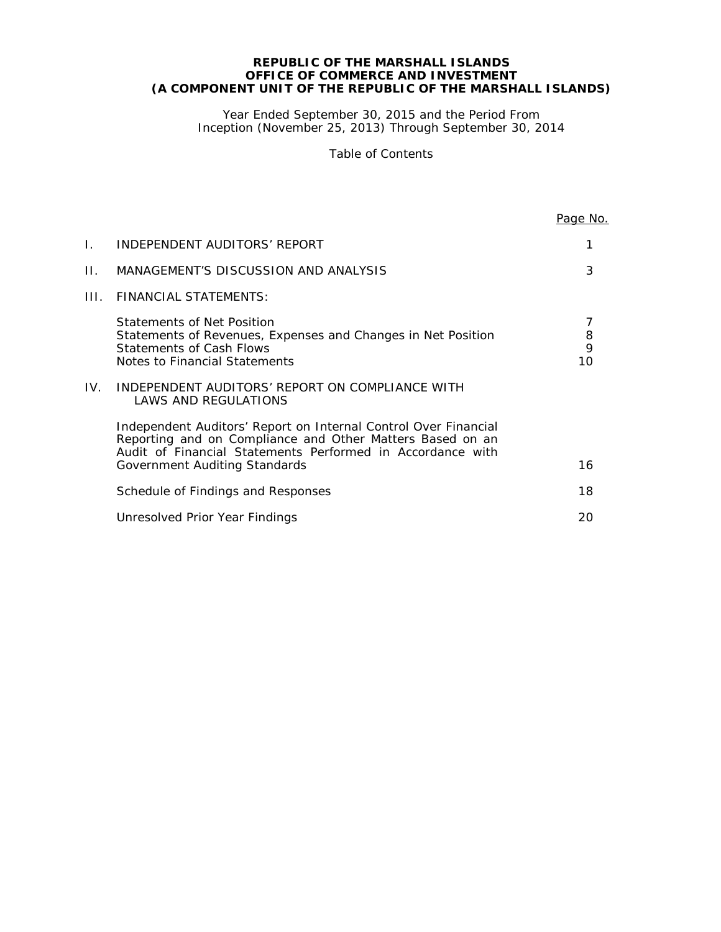#### **REPUBLIC OF THE MARSHALL ISLANDS OFFICE OF COMMERCE AND INVESTMENT (A COMPONENT UNIT OF THE REPUBLIC OF THE MARSHALL ISLANDS)**

Year Ended September 30, 2015 and the Period From Inception (November 25, 2013) Through September 30, 2014

Table of Contents

|      |                                                                                                                                                                                                                             | Page No.     |
|------|-----------------------------------------------------------------------------------------------------------------------------------------------------------------------------------------------------------------------------|--------------|
| Ι.   | INDEPENDENT AUDITORS' REPORT                                                                                                                                                                                                |              |
| Н.   | MANAGEMENT'S DISCUSSION AND ANALYSIS                                                                                                                                                                                        | 3            |
| III. | <b>FINANCIAL STATEMENTS:</b>                                                                                                                                                                                                |              |
|      | Statements of Net Position<br>Statements of Revenues, Expenses and Changes in Net Position<br><b>Statements of Cash Flows</b><br>Notes to Financial Statements                                                              | 8<br>9<br>10 |
| IV.  | INDEPENDENT AUDITORS' REPORT ON COMPLIANCE WITH<br><b>LAWS AND REGULATIONS</b>                                                                                                                                              |              |
|      | Independent Auditors' Report on Internal Control Over Financial<br>Reporting and on Compliance and Other Matters Based on an<br>Audit of Financial Statements Performed in Accordance with<br>Government Auditing Standards | 16           |
|      | Schedule of Findings and Responses                                                                                                                                                                                          | 18           |
|      | Unresolved Prior Year Findings                                                                                                                                                                                              | 20           |
|      |                                                                                                                                                                                                                             |              |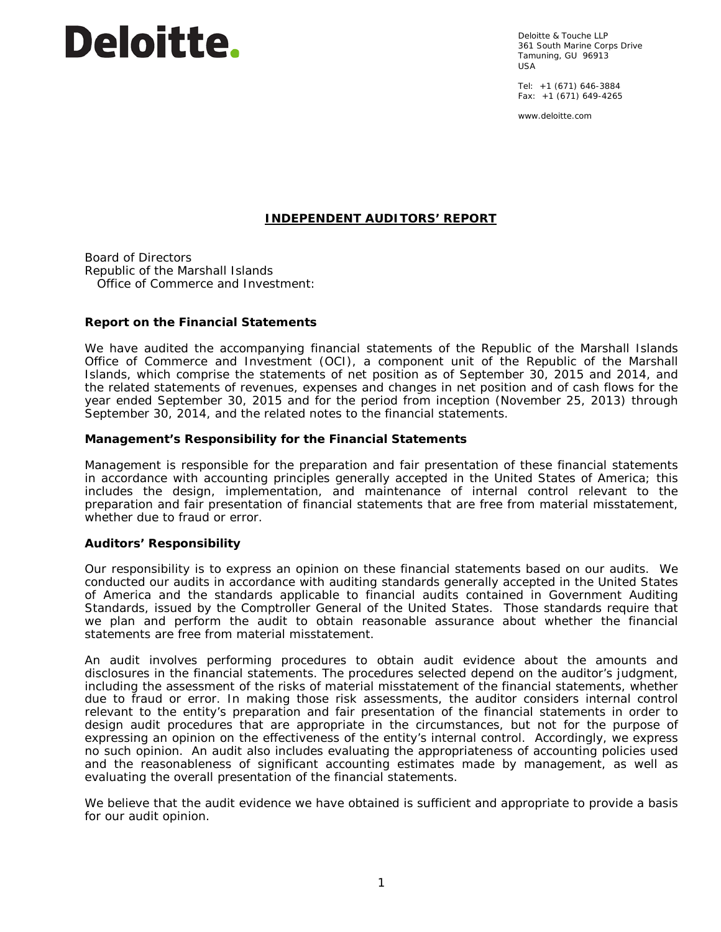# **Deloitte**.

Deloitte & Touche LLP 361 South Marine Corps Drive Tamuning, GU 96913 USA

Tel: +1 (671) 646-3884 Fax:  $+1$  (671) 649-4265

www.deloitte.com

# **INDEPENDENT AUDITORS' REPORT**

Board of Directors Republic of the Marshall Islands Office of Commerce and Investment:

# **Report on the Financial Statements**

We have audited the accompanying financial statements of the Republic of the Marshall Islands Office of Commerce and Investment (OCI), a component unit of the Republic of the Marshall Islands, which comprise the statements of net position as of September 30, 2015 and 2014, and the related statements of revenues, expenses and changes in net position and of cash flows for the year ended September 30, 2015 and for the period from inception (November 25, 2013) through September 30, 2014, and the related notes to the financial statements.

# *Management's Responsibility for the Financial Statements*

Management is responsible for the preparation and fair presentation of these financial statements in accordance with accounting principles generally accepted in the United States of America; this includes the design, implementation, and maintenance of internal control relevant to the preparation and fair presentation of financial statements that are free from material misstatement, whether due to fraud or error.

#### *Auditors' Responsibility*

Our responsibility is to express an opinion on these financial statements based on our audits. We conducted our audits in accordance with auditing standards generally accepted in the United States of America and the standards applicable to financial audits contained in *Government Auditing Standards,* issued by the Comptroller General of the United States. Those standards require that we plan and perform the audit to obtain reasonable assurance about whether the financial statements are free from material misstatement.

An audit involves performing procedures to obtain audit evidence about the amounts and disclosures in the financial statements. The procedures selected depend on the auditor's judgment, including the assessment of the risks of material misstatement of the financial statements, whether due to fraud or error. In making those risk assessments, the auditor considers internal control relevant to the entity's preparation and fair presentation of the financial statements in order to design audit procedures that are appropriate in the circumstances, but not for the purpose of expressing an opinion on the effectiveness of the entity's internal control. Accordingly, we express no such opinion. An audit also includes evaluating the appropriateness of accounting policies used and the reasonableness of significant accounting estimates made by management, as well as evaluating the overall presentation of the financial statements.

We believe that the audit evidence we have obtained is sufficient and appropriate to provide a basis for our audit opinion.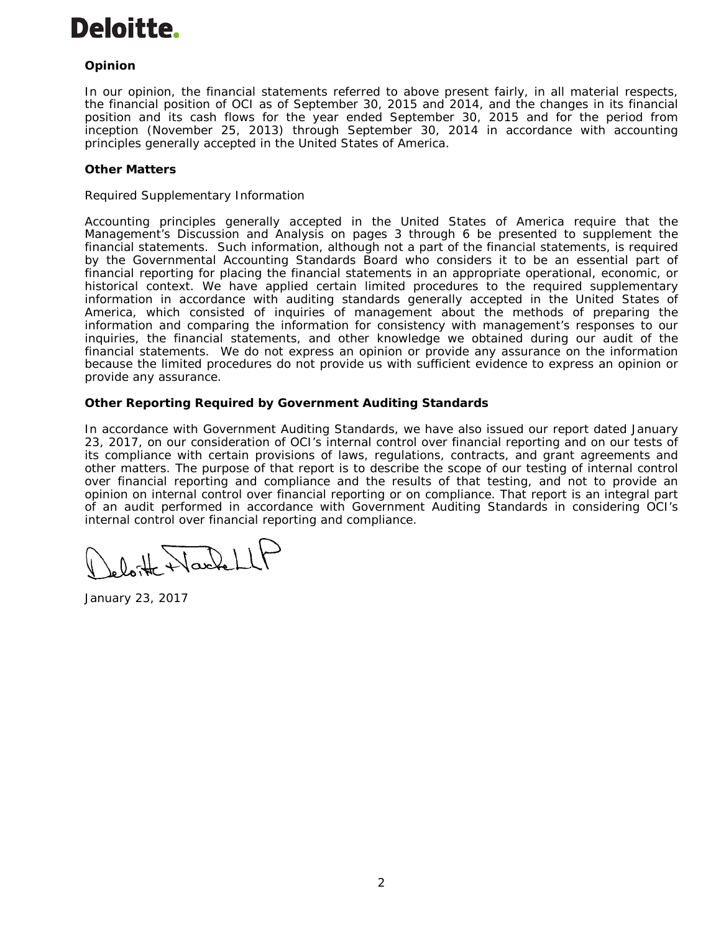

# *Opinion*

In our opinion, the financial statements referred to above present fairly, in all material respects, the financial position of OCI as of September 30, 2015 and 2014, and the changes in its financial position and its cash flows for the year ended September 30, 2015 and for the period from inception (November 25, 2013) through September 30, 2014 in accordance with accounting principles generally accepted in the United States of America.

#### *Other Matters*

#### *Required Supplementary Information*

Accounting principles generally accepted in the United States of America require that the Management's Discussion and Analysis on pages 3 through 6 be presented to supplement the financial statements. Such information, although not a part of the financial statements, is required by the Governmental Accounting Standards Board who considers it to be an essential part of financial reporting for placing the financial statements in an appropriate operational, economic, or historical context. We have applied certain limited procedures to the required supplementary information in accordance with auditing standards generally accepted in the United States of America, which consisted of inquiries of management about the methods of preparing the information and comparing the information for consistency with management's responses to our inquiries, the financial statements, and other knowledge we obtained during our audit of the financial statements. We do not express an opinion or provide any assurance on the information because the limited procedures do not provide us with sufficient evidence to express an opinion or provide any assurance.

# **Other Reporting Required by** *Government Auditing Standards*

In accordance with *Government Auditing Standards*, we have also issued our report dated January 23, 2017, on our consideration of OCI's internal control over financial reporting and on our tests of its compliance with certain provisions of laws, regulations, contracts, and grant agreements and other matters. The purpose of that report is to describe the scope of our testing of internal control over financial reporting and compliance and the results of that testing, and not to provide an opinion on internal control over financial reporting or on compliance. That report is an integral part of an audit performed in accordance with *Government Auditing Standards* in considering OCI's internal control over financial reporting and compliance.

leloitte Wackell

January 23, 2017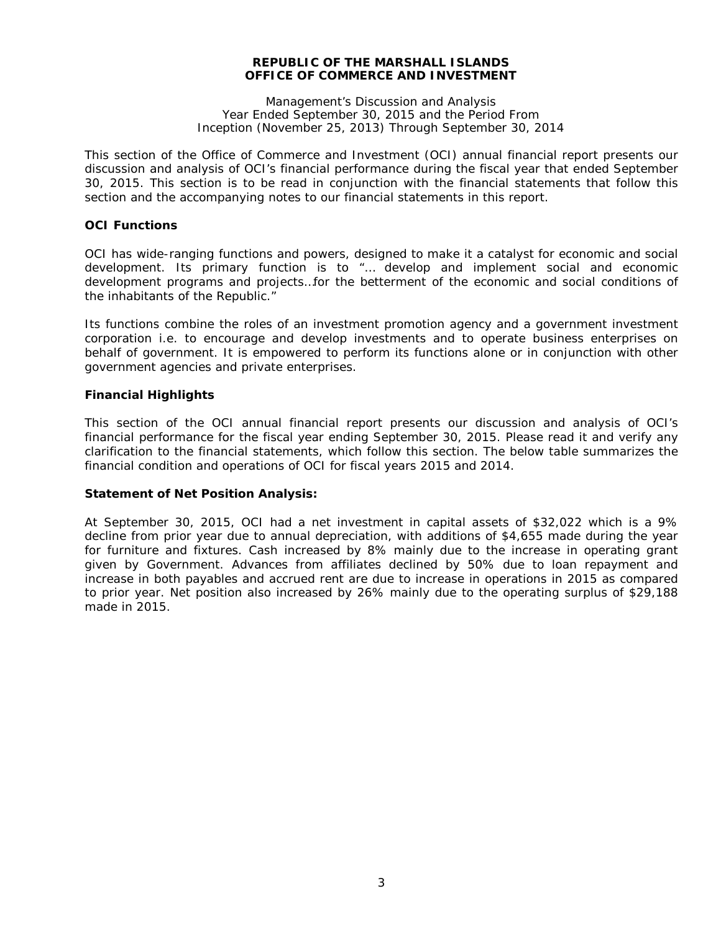Management's Discussion and Analysis Year Ended September 30, 2015 and the Period From Inception (November 25, 2013) Through September 30, 2014

This section of the Office of Commerce and Investment (OCI) annual financial report presents our discussion and analysis of OCI's financial performance during the fiscal year that ended September 30, 2015. This section is to be read in conjunction with the financial statements that follow this section and the accompanying notes to our financial statements in this report.

# **OCI Functions**

OCI has wide-ranging functions and powers, designed to make it a catalyst for economic and social development. Its primary function is to "… develop and implement social and economic development programs and projects…for the betterment of the economic and social conditions of the inhabitants of the Republic."

Its functions combine the roles of an investment promotion agency and a government investment corporation i.e. to encourage and develop investments and to operate business enterprises on behalf of government. It is empowered to perform its functions alone or in conjunction with other government agencies and private enterprises.

# **Financial Highlights**

This section of the OCI annual financial report presents our discussion and analysis of OCI's financial performance for the fiscal year ending September 30, 2015. Please read it and verify any clarification to the financial statements, which follow this section. The below table summarizes the financial condition and operations of OCI for fiscal years 2015 and 2014.

#### **Statement of Net Position Analysis:**

At September 30, 2015, OCI had a net investment in capital assets of \$32,022 which is a 9% decline from prior year due to annual depreciation, with additions of \$4,655 made during the year for furniture and fixtures. Cash increased by 8% mainly due to the increase in operating grant given by Government. Advances from affiliates declined by 50% due to loan repayment and increase in both payables and accrued rent are due to increase in operations in 2015 as compared to prior year. Net position also increased by 26% mainly due to the operating surplus of \$29,188 made in 2015.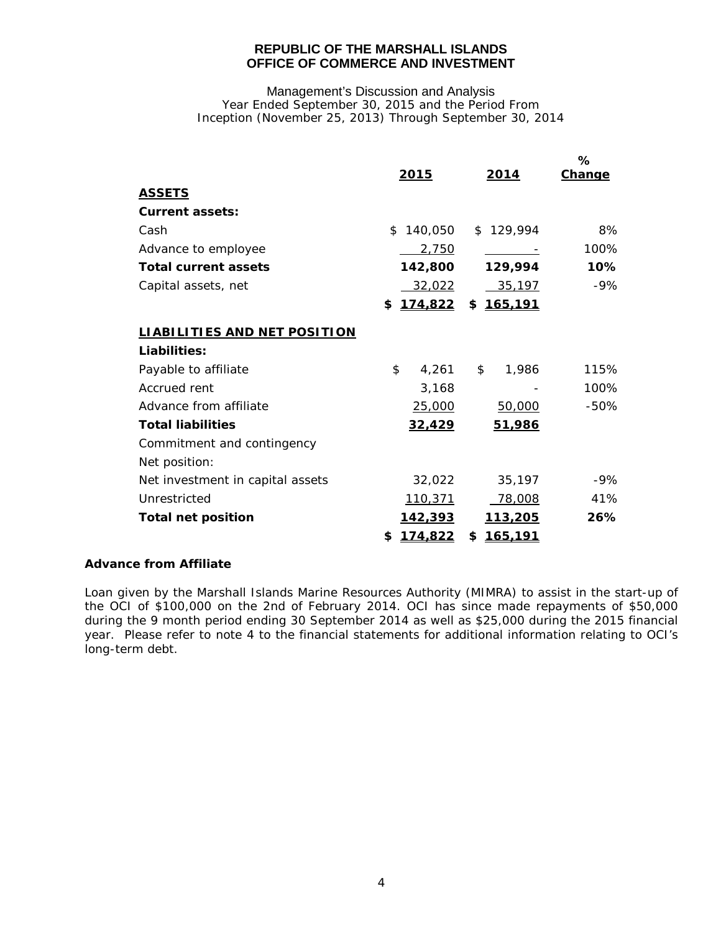Management's Discussion and Analysis Year Ended September 30, 2015 and the Period From Inception (November 25, 2013) Through September 30, 2014

|                                     | <u>2015</u>   | 2014                 | ℅<br>Change |
|-------------------------------------|---------------|----------------------|-------------|
| <b>ASSETS</b>                       |               |                      |             |
| <b>Current assets:</b>              |               |                      |             |
| Cash                                | 140,050<br>\$ | \$129,994            | 8%          |
| Advance to employee                 | 2.750         |                      | 100%        |
| <b>Total current assets</b>         | 142,800       | 129,994              | 10%         |
| Capital assets, net                 | 32,022        | 35,197               | $-9%$       |
|                                     | 174,822<br>\$ | \$165,191            |             |
| <b>LIABILITIES AND NET POSITION</b> |               |                      |             |
| Liabilities:                        |               |                      |             |
| Payable to affiliate                | \$<br>4,261   | \$<br>1,986          | 115%        |
| Accrued rent                        | 3,168         |                      | 100%        |
| Advance from affiliate              | 25,000        | 50,000               | $-50%$      |
| <b>Total liabilities</b>            | 32,429        | 51,986               |             |
| Commitment and contingency          |               |                      |             |
| Net position:                       |               |                      |             |
| Net investment in capital assets    | 32,022        | 35,197               | $-9%$       |
| Unrestricted                        | 110,371       | 78,008               | 41%         |
| <b>Total net position</b>           | 142,393       | 113,205              | 26%         |
|                                     | 174,822<br>\$ | <u>165,191</u><br>\$ |             |

# **Advance from Affiliate**

Loan given by the Marshall Islands Marine Resources Authority (MIMRA) to assist in the start-up of the OCI of \$100,000 on the 2nd of February 2014. OCI has since made repayments of \$50,000 during the 9 month period ending 30 September 2014 as well as \$25,000 during the 2015 financial year. Please refer to note 4 to the financial statements for additional information relating to OCI's long-term debt.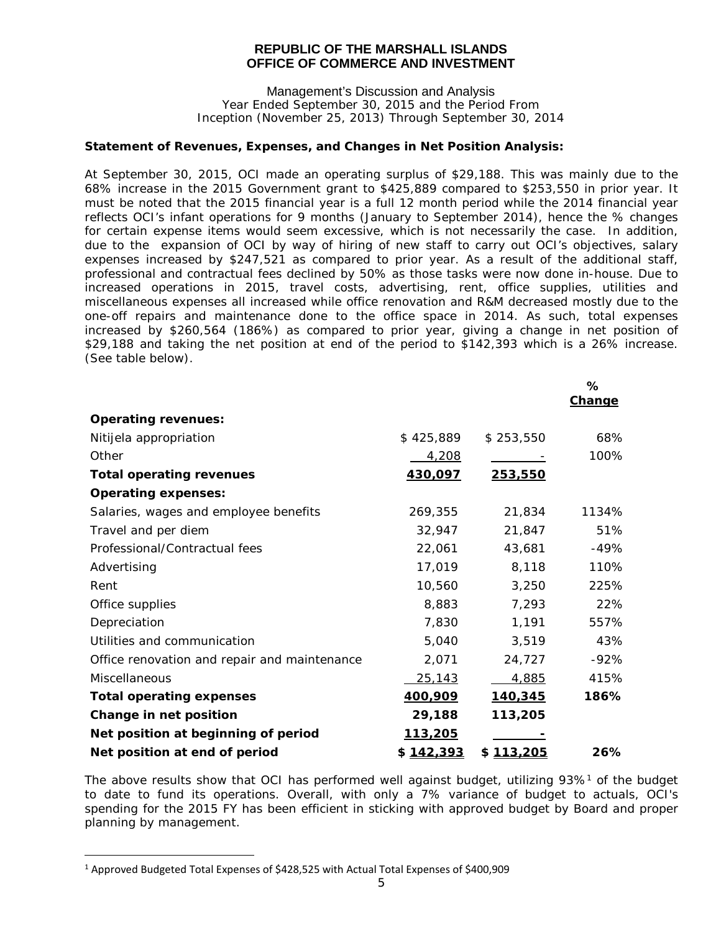Management's Discussion and Analysis Year Ended September 30, 2015 and the Period From Inception (November 25, 2013) Through September 30, 2014

#### **Statement of Revenues, Expenses, and Changes in Net Position Analysis:**

At September 30, 2015, OCI made an operating surplus of \$29,188. This was mainly due to the 68% increase in the 2015 Government grant to \$425,889 compared to \$253,550 in prior year. It must be noted that the 2015 financial year is a full 12 month period while the 2014 financial year reflects OCI's infant operations for 9 months (January to September 2014), hence the % changes for certain expense items would seem excessive, which is not necessarily the case. In addition, due to the expansion of OCI by way of hiring of new staff to carry out OCI's objectives, salary expenses increased by \$247,521 as compared to prior year. As a result of the additional staff, professional and contractual fees declined by 50% as those tasks were now done in-house. Due to increased operations in 2015, travel costs, advertising, rent, office supplies, utilities and miscellaneous expenses all increased while office renovation and R&M decreased mostly due to the one-off repairs and maintenance done to the office space in 2014. As such, total expenses increased by \$260,564 (186%) as compared to prior year, giving a change in net position of \$29,188 and taking the net position at end of the period to \$142,393 which is a 26% increase. (See table below).

|                                              |                 |                | ℅<br>Change |
|----------------------------------------------|-----------------|----------------|-------------|
| <b>Operating revenues:</b>                   |                 |                |             |
| Nitijela appropriation                       | \$425,889       | \$253,550      | 68%         |
| Other                                        | 4,208           |                | 100%        |
| <b>Total operating revenues</b>              | 430,097         | 253,550        |             |
| <b>Operating expenses:</b>                   |                 |                |             |
| Salaries, wages and employee benefits        | 269,355         | 21,834         | 1134%       |
| Travel and per diem                          | 32,947          | 21,847         | 51%         |
| Professional/Contractual fees                | 22,061          | 43,681         | $-49%$      |
| Advertising                                  | 17,019          | 8,118          | 110%        |
| Rent                                         | 10,560          | 3,250          | 225%        |
| Office supplies                              | 8,883           | 7,293          | 22%         |
| Depreciation                                 | 7,830           | 1,191          | 557%        |
| Utilities and communication                  | 5,040           | 3,519          | 43%         |
| Office renovation and repair and maintenance | 2,071           | 24,727         | $-92%$      |
| Miscellaneous                                | 25,143          | 4,885          | 415%        |
| <b>Total operating expenses</b>              | 400,909         | <u>140,345</u> | 186%        |
| Change in net position                       | 29,188          | 113,205        |             |
| Net position at beginning of period          | <u> 113,205</u> |                |             |
| Net position at end of period                | \$142,393       | \$113,205      | 26%         |

The above results show that OCI has performed well against budget, utilizing 93%<sup>1</sup> of the budget to date to fund its operations. Overall, with only a 7% variance of budget to actuals, OCI's spending for the 2015 FY has been efficient in sticking with approved budget by Board and proper planning by management.

i<br>I

<span id="page-6-0"></span> $1$  Approved Budgeted Total Expenses of \$428,525 with Actual Total Expenses of \$400,909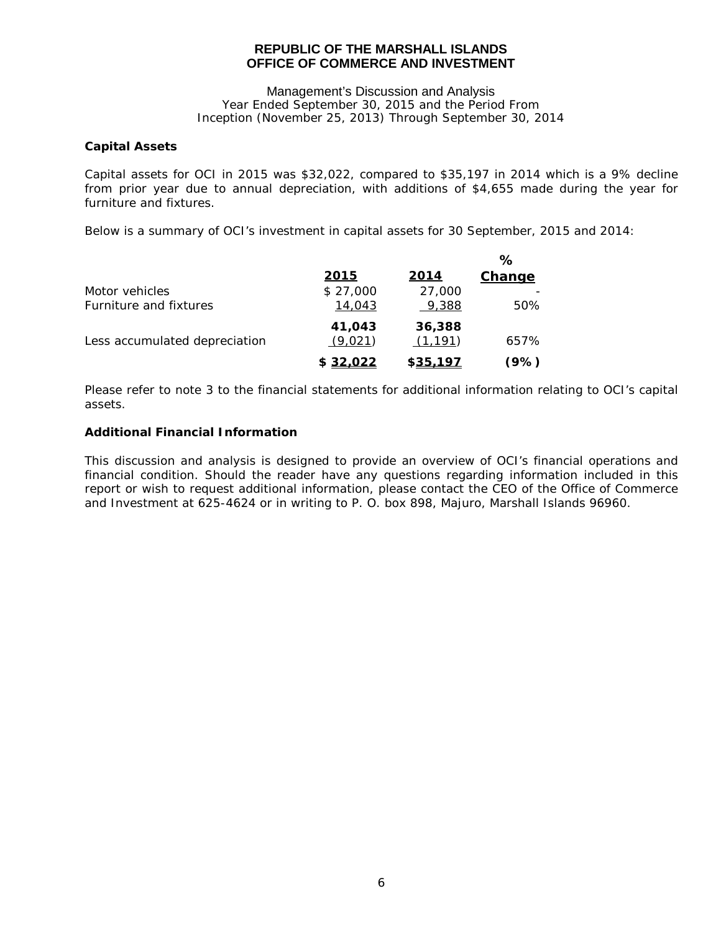#### Management's Discussion and Analysis Year Ended September 30, 2015 and the Period From Inception (November 25, 2013) Through September 30, 2014

# **Capital Assets**

Capital assets for OCI in 2015 was \$32,022, compared to \$35,197 in 2014 which is a 9% decline from prior year due to annual depreciation, with additions of \$4,655 made during the year for furniture and fixtures.

Below is a summary of OCI's investment in capital assets for 30 September, 2015 and 2014:

|                               |                   |                    | %      |
|-------------------------------|-------------------|--------------------|--------|
|                               | 2015              | 2014               | Change |
| Motor vehicles                | \$27,000          | 27,000             |        |
| Furniture and fixtures        | 14,043            | 9,388              | 50%    |
| Less accumulated depreciation | 41,043<br>(9,021) | 36,388<br>(1, 191) | 657%   |
|                               | \$32,022          | \$35.197           | (9%)   |

Please refer to note 3 to the financial statements for additional information relating to OCI's capital assets.

# **Additional Financial Information**

This discussion and analysis is designed to provide an overview of OCI's financial operations and financial condition. Should the reader have any questions regarding information included in this report or wish to request additional information, please contact the CEO of the Office of Commerce and Investment at 625-4624 or in writing to P. O. box 898, Majuro, Marshall Islands 96960.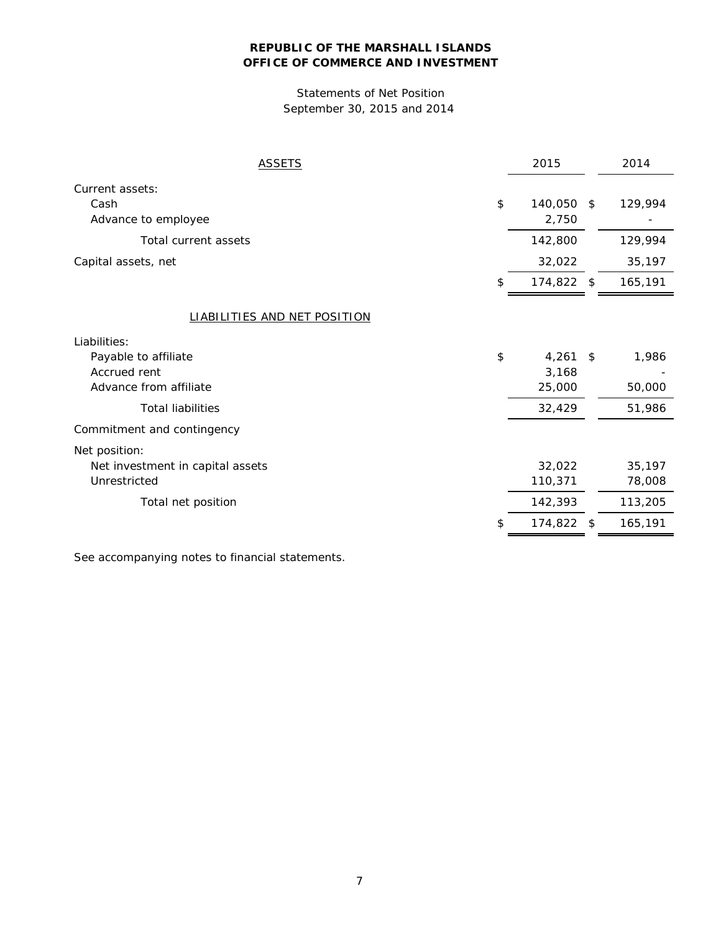# Statements of Net Position September 30, 2015 and 2014

| <b>ASSETS</b>                       | 2015             |      | 2014    |
|-------------------------------------|------------------|------|---------|
| Current assets:                     |                  |      |         |
| Cash                                | \$<br>140,050 \$ |      | 129,994 |
| Advance to employee                 | 2,750            |      |         |
| Total current assets                | 142,800          |      | 129,994 |
| Capital assets, net                 | 32,022           |      | 35,197  |
|                                     | 174,822 \$       |      | 165,191 |
| <b>LIABILITIES AND NET POSITION</b> |                  |      |         |
| Liabilities:                        |                  |      |         |
| Payable to affiliate                | \$<br>4,261      | - \$ | 1,986   |
| Accrued rent                        | 3,168            |      |         |
| Advance from affiliate              | 25,000           |      | 50,000  |
| <b>Total liabilities</b>            | 32,429           |      | 51,986  |
| Commitment and contingency          |                  |      |         |
| Net position:                       |                  |      |         |
| Net investment in capital assets    | 32,022           |      | 35,197  |
| Unrestricted                        | 110,371          |      | 78,008  |
| Total net position                  | 142,393          |      | 113,205 |
|                                     | 174,822          | \$   | 165,191 |
|                                     |                  |      |         |

See accompanying notes to financial statements.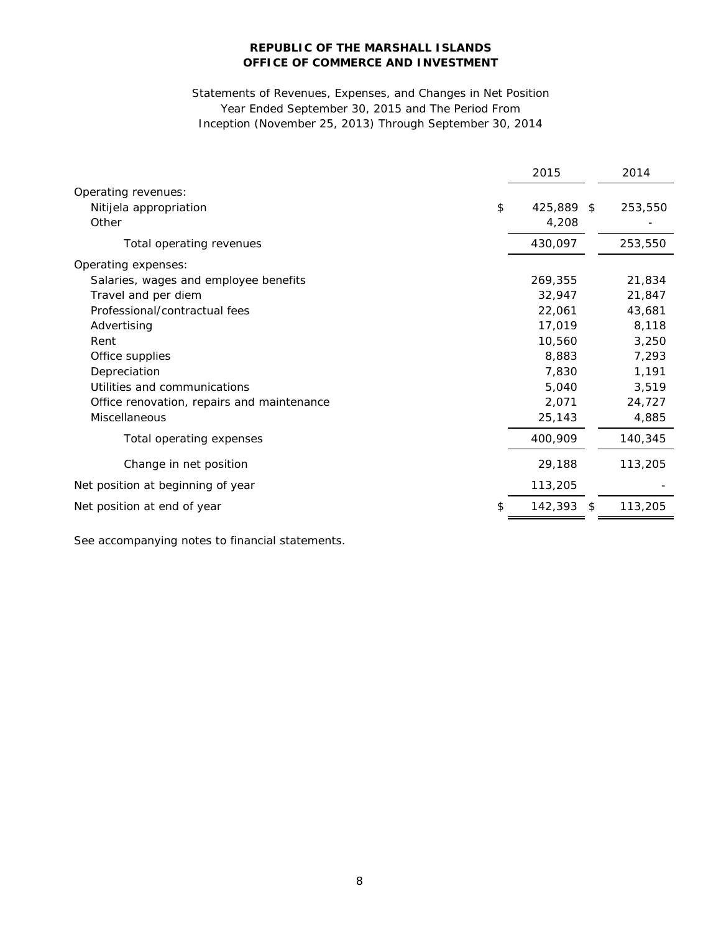# Statements of Revenues, Expenses, and Changes in Net Position Year Ended September 30, 2015 and The Period From Inception (November 25, 2013) Through September 30, 2014

|                                            | 2015       |     | 2014    |
|--------------------------------------------|------------|-----|---------|
| Operating revenues:                        |            |     |         |
| \$<br>Nitijela appropriation               | 425,889 \$ |     | 253,550 |
| Other                                      | 4,208      |     |         |
| Total operating revenues                   | 430,097    |     | 253,550 |
| Operating expenses:                        |            |     |         |
| Salaries, wages and employee benefits      | 269,355    |     | 21,834  |
| Travel and per diem                        | 32,947     |     | 21,847  |
| Professional/contractual fees              | 22,061     |     | 43,681  |
| Advertising                                | 17,019     |     | 8,118   |
| Rent                                       | 10,560     |     | 3,250   |
| Office supplies                            | 8,883      |     | 7,293   |
| Depreciation                               | 7,830      |     | 1,191   |
| Utilities and communications               | 5,040      |     | 3,519   |
| Office renovation, repairs and maintenance | 2,071      |     | 24,727  |
| Miscellaneous                              | 25,143     |     | 4,885   |
| Total operating expenses                   | 400,909    |     | 140,345 |
| Change in net position                     | 29,188     |     | 113,205 |
| Net position at beginning of year          | 113,205    |     |         |
| Net position at end of year                | 142,393    | -\$ | 113,205 |

See accompanying notes to financial statements.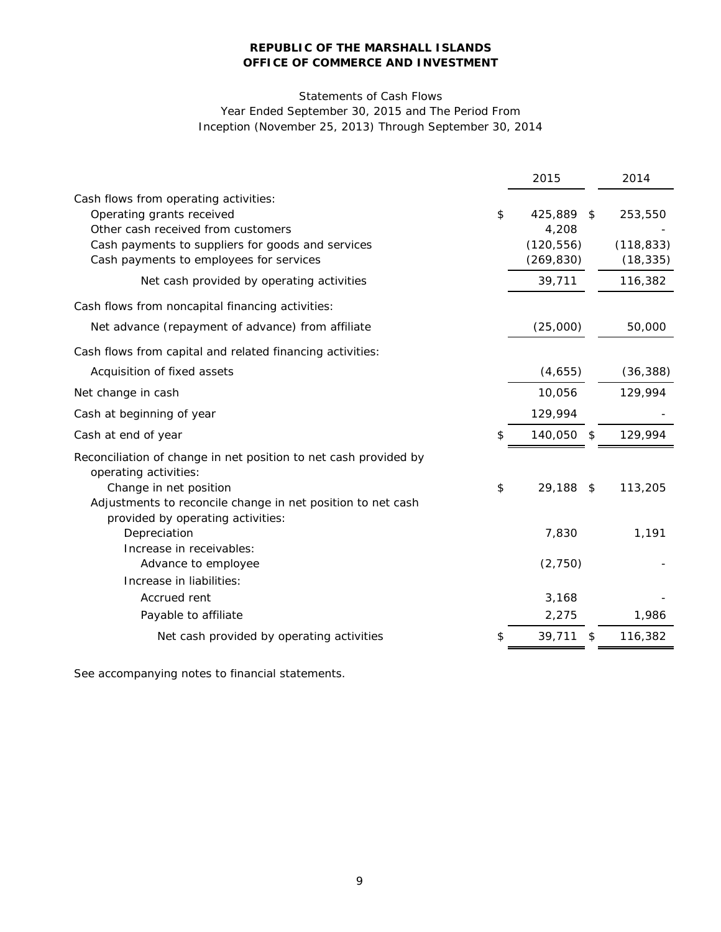# Statements of Cash Flows Year Ended September 30, 2015 and The Period From Inception (November 25, 2013) Through September 30, 2014

|                                                                                           | 2015       | 2014          |
|-------------------------------------------------------------------------------------------|------------|---------------|
| Cash flows from operating activities:                                                     |            |               |
| Operating grants received<br>\$                                                           | 425,889    | \$<br>253,550 |
| Other cash received from customers                                                        | 4,208      |               |
| Cash payments to suppliers for goods and services                                         | (120, 556) | (118, 833)    |
| Cash payments to employees for services                                                   | (269, 830) | (18, 335)     |
| Net cash provided by operating activities                                                 | 39,711     | 116,382       |
| Cash flows from noncapital financing activities:                                          |            |               |
| Net advance (repayment of advance) from affiliate                                         | (25,000)   | 50,000        |
| Cash flows from capital and related financing activities:                                 |            |               |
| Acquisition of fixed assets                                                               | (4,655)    | (36, 388)     |
| Net change in cash                                                                        | 10,056     | 129,994       |
| Cash at beginning of year                                                                 | 129,994    |               |
| Cash at end of year                                                                       | 140,050 \$ | 129,994       |
| Reconciliation of change in net position to net cash provided by<br>operating activities: |            |               |
| Change in net position<br>\$                                                              | 29,188     | \$<br>113,205 |
| Adjustments to reconcile change in net position to net cash                               |            |               |
| provided by operating activities:<br>Depreciation                                         | 7,830      | 1,191         |
| Increase in receivables:                                                                  |            |               |
| Advance to employee                                                                       | (2,750)    |               |
| Increase in liabilities:                                                                  |            |               |
| Accrued rent                                                                              | 3,168      |               |
| Payable to affiliate                                                                      | 2,275      | 1,986         |
| Net cash provided by operating activities<br>\$                                           | 39,711     | \$<br>116,382 |

See accompanying notes to financial statements.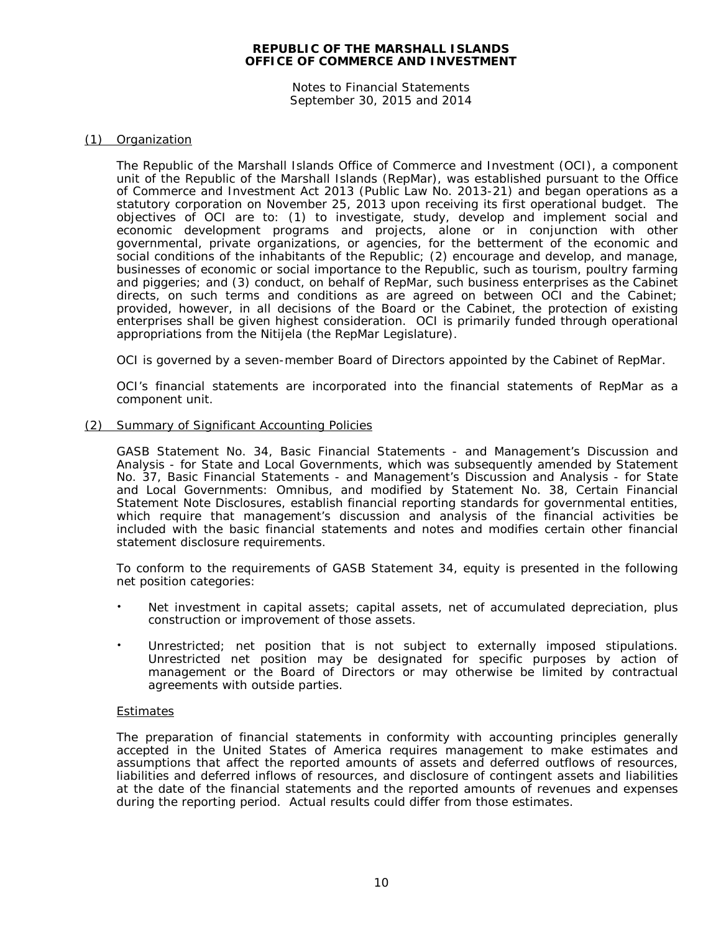Notes to Financial Statements September 30, 2015 and 2014

#### (1) Organization

The Republic of the Marshall Islands Office of Commerce and Investment (OCI), a component unit of the Republic of the Marshall Islands (RepMar), was established pursuant to the Office of Commerce and Investment Act 2013 (Public Law No. 2013-21) and began operations as a statutory corporation on November 25, 2013 upon receiving its first operational budget. The objectives of OCI are to: (1) to investigate, study, develop and implement social and economic development programs and projects, alone or in conjunction with other governmental, private organizations, or agencies, for the betterment of the economic and social conditions of the inhabitants of the Republic; (2) encourage and develop, and manage, businesses of economic or social importance to the Republic, such as tourism, poultry farming and piggeries; and (3) conduct, on behalf of RepMar, such business enterprises as the Cabinet directs, on such terms and conditions as are agreed on between OCI and the Cabinet; provided, however, in all decisions of the Board or the Cabinet, the protection of existing enterprises shall be given highest consideration. OCI is primarily funded through operational appropriations from the Nitijela (the RepMar Legislature).

OCI is governed by a seven-member Board of Directors appointed by the Cabinet of RepMar.

OCI's financial statements are incorporated into the financial statements of RepMar as a component unit.

#### (2) Summary of Significant Accounting Policies

GASB Statement No. 34, *Basic Financial Statements - and Management's Discussion and Analysis - for State and Local Governments*, which was subsequently amended by Statement No. 37, *Basic Financial Statements - and Management's Discussion and Analysis - for State and Local Governments: Omnibus*, and modified by Statement No. 38, *Certain Financial Statement Note Disclosures,* establish financial reporting standards for governmental entities, which require that management's discussion and analysis of the financial activities be included with the basic financial statements and notes and modifies certain other financial statement disclosure requirements.

To conform to the requirements of GASB Statement 34, equity is presented in the following net position categories:

- Net investment in capital assets; capital assets, net of accumulated depreciation, plus construction or improvement of those assets.
- Unrestricted; net position that is not subject to externally imposed stipulations. Unrestricted net position may be designated for specific purposes by action of management or the Board of Directors or may otherwise be limited by contractual agreements with outside parties.

#### **Estimates**

The preparation of financial statements in conformity with accounting principles generally accepted in the United States of America requires management to make estimates and assumptions that affect the reported amounts of assets and deferred outflows of resources, liabilities and deferred inflows of resources, and disclosure of contingent assets and liabilities at the date of the financial statements and the reported amounts of revenues and expenses during the reporting period. Actual results could differ from those estimates.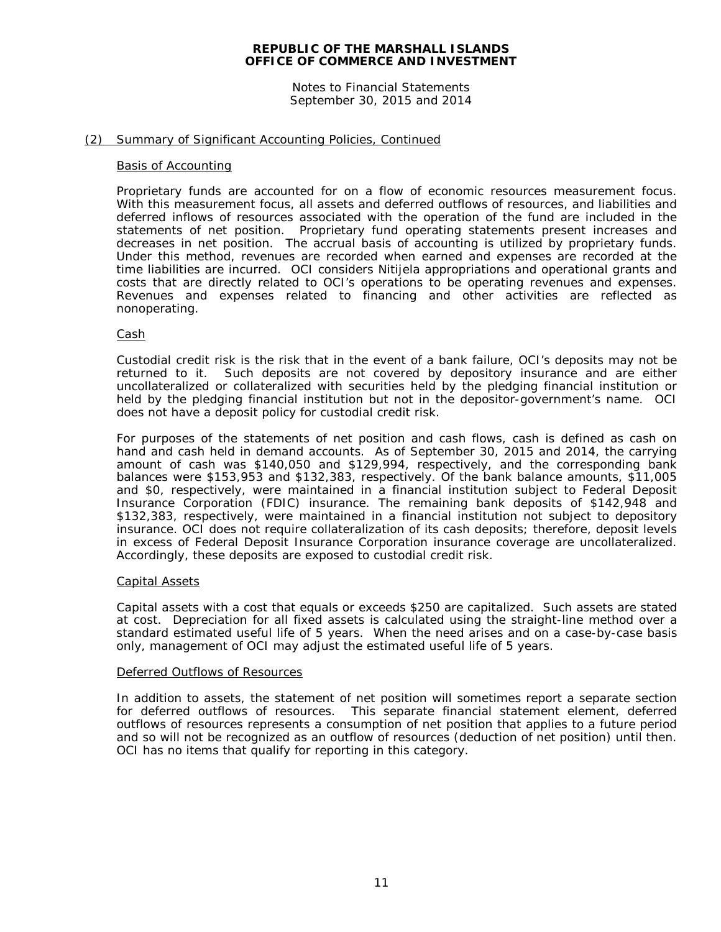Notes to Financial Statements September 30, 2015 and 2014

#### (2) Summary of Significant Accounting Policies, Continued

#### Basis of Accounting

Proprietary funds are accounted for on a flow of economic resources measurement focus. With this measurement focus, all assets and deferred outflows of resources, and liabilities and deferred inflows of resources associated with the operation of the fund are included in the statements of net position. Proprietary fund operating statements present increases and decreases in net position. The accrual basis of accounting is utilized by proprietary funds. Under this method, revenues are recorded when earned and expenses are recorded at the time liabilities are incurred. OCI considers Nitijela appropriations and operational grants and costs that are directly related to OCI's operations to be operating revenues and expenses. Revenues and expenses related to financing and other activities are reflected as nonoperating.

#### Cash

Custodial credit risk is the risk that in the event of a bank failure, OCI's deposits may not be returned to it. Such deposits are not covered by depository insurance and are either uncollateralized or collateralized with securities held by the pledging financial institution or held by the pledging financial institution but not in the depositor-government's name. OCI does not have a deposit policy for custodial credit risk.

For purposes of the statements of net position and cash flows, cash is defined as cash on hand and cash held in demand accounts. As of September 30, 2015 and 2014, the carrying amount of cash was \$140,050 and \$129,994, respectively, and the corresponding bank balances were \$153,953 and \$132,383, respectively. Of the bank balance amounts, \$11,005 and \$0, respectively, were maintained in a financial institution subject to Federal Deposit Insurance Corporation (FDIC) insurance. The remaining bank deposits of \$142,948 and \$132,383, respectively, were maintained in a financial institution not subject to depository insurance. OCI does not require collateralization of its cash deposits; therefore, deposit levels in excess of Federal Deposit Insurance Corporation insurance coverage are uncollateralized. Accordingly, these deposits are exposed to custodial credit risk.

#### Capital Assets

Capital assets with a cost that equals or exceeds \$250 are capitalized. Such assets are stated at cost. Depreciation for all fixed assets is calculated using the straight-line method over a standard estimated useful life of 5 years. When the need arises and on a case-by-case basis only, management of OCI may adjust the estimated useful life of 5 years.

#### Deferred Outflows of Resources

In addition to assets, the statement of net position will sometimes report a separate section for deferred outflows of resources. This separate financial statement element, deferred outflows of resources represents a consumption of net position that applies to a future period and so will not be recognized as an outflow of resources (deduction of net position) until then. OCI has no items that qualify for reporting in this category.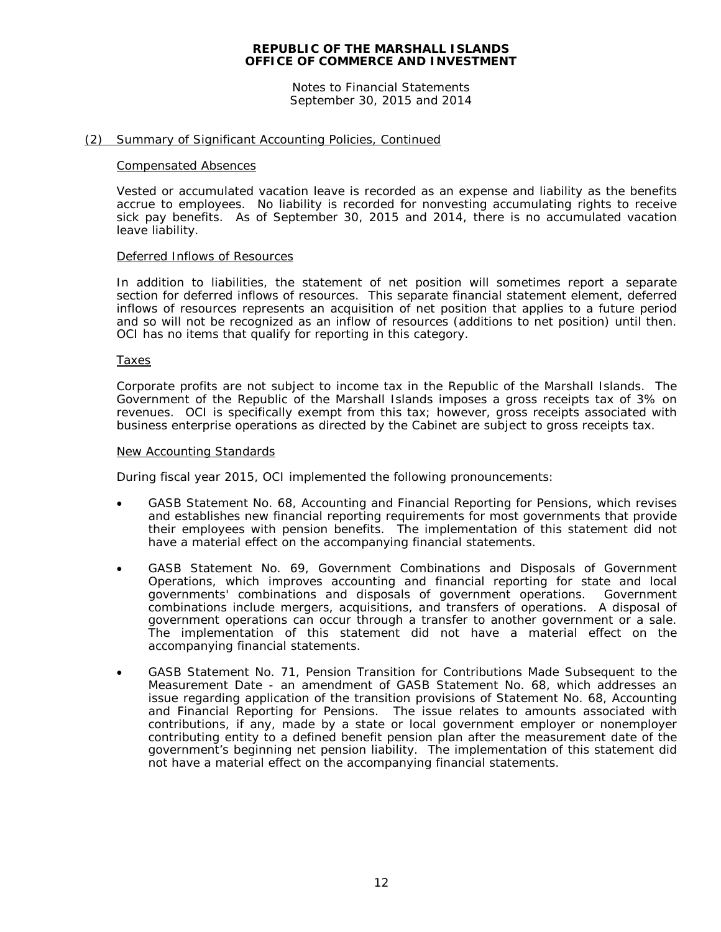Notes to Financial Statements September 30, 2015 and 2014

#### (2) Summary of Significant Accounting Policies, Continued

#### Compensated Absences

Vested or accumulated vacation leave is recorded as an expense and liability as the benefits accrue to employees. No liability is recorded for nonvesting accumulating rights to receive sick pay benefits. As of September 30, 2015 and 2014, there is no accumulated vacation leave liability.

#### Deferred Inflows of Resources

In addition to liabilities, the statement of net position will sometimes report a separate section for deferred inflows of resources. This separate financial statement element, deferred inflows of resources represents an acquisition of net position that applies to a future period and so will not be recognized as an inflow of resources (additions to net position) until then. OCI has no items that qualify for reporting in this category.

#### Taxes

Corporate profits are not subject to income tax in the Republic of the Marshall Islands. The Government of the Republic of the Marshall Islands imposes a gross receipts tax of 3% on revenues. OCI is specifically exempt from this tax; however, gross receipts associated with business enterprise operations as directed by the Cabinet are subject to gross receipts tax.

#### New Accounting Standards

During fiscal year 2015, OCI implemented the following pronouncements:

- GASB S*tatement* No. 68, *Accounting and Financial Reporting for Pensions*, which revises and establishes new financial reporting requirements for most governments that provide their employees with pension benefits. The implementation of this statement did not have a material effect on the accompanying financial statements.
- GASB Statement No. 69, *Government Combinations and Disposals of Government Operations*, which improves accounting and financial reporting for state and local governments' combinations and disposals of government operations. combinations include mergers, acquisitions, and transfers of operations. A disposal of government operations can occur through a transfer to another government or a sale. The implementation of this statement did not have a material effect on the accompanying financial statements.
- GASB Statement No. 71, *Pension Transition for Contributions Made Subsequent to the Measurement Date - an amendment of GASB Statement No. 68,* which addresses an issue regarding application of the transition provisions of Statement No. 68, *Accounting and Financial Reporting for Pensions*. The issue relates to amounts associated with contributions, if any, made by a state or local government employer or nonemployer contributing entity to a defined benefit pension plan after the measurement date of the government's beginning net pension liability. The implementation of this statement did not have a material effect on the accompanying financial statements.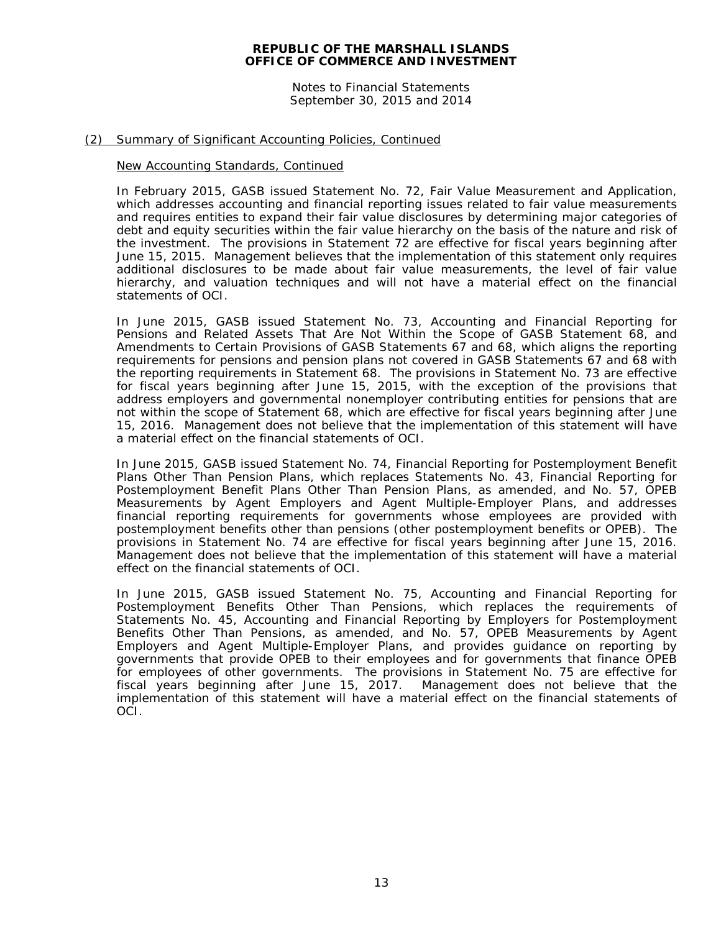Notes to Financial Statements September 30, 2015 and 2014

#### (2) Summary of Significant Accounting Policies, Continued

#### New Accounting Standards, Continued

In February 2015, GASB issued Statement No. 72, *Fair Value Measurement and Application,*  which addresses accounting and financial reporting issues related to fair value measurements and requires entities to expand their fair value disclosures by determining major categories of debt and equity securities within the fair value hierarchy on the basis of the nature and risk of the investment. The provisions in Statement 72 are effective for fiscal years beginning after June 15, 2015. Management believes that the implementation of this statement only requires additional disclosures to be made about fair value measurements, the level of fair value hierarchy, and valuation techniques and will not have a material effect on the financial statements of OCI.

In June 2015, GASB issued Statement No. 73, *Accounting and Financial Reporting for Pensions and Related Assets That Are Not Within the Scope of GASB Statement 68, and Amendments to Certain Provisions of GASB Statements 67 and 68*, which aligns the reporting requirements for pensions and pension plans not covered in GASB Statements 67 and 68 with the reporting requirements in Statement 68. The provisions in Statement No. 73 are effective for fiscal years beginning after June 15, 2015, with the exception of the provisions that address employers and governmental nonemployer contributing entities for pensions that are not within the scope of Statement 68, which are effective for fiscal years beginning after June 15, 2016. Management does not believe that the implementation of this statement will have a material effect on the financial statements of OCI.

In June 2015, GASB issued Statement No. 74, *Financial Reporting for Postemployment Benefit Plans Other Than Pension Plans*, which replaces Statements No. 43, *Financial Reporting for Postemployment Benefit Plans Other Than Pension Plans*, as amended, and No. 57, *OPEB Measurements by Agent Employers and Agent Multiple-Employer Plans*, and addresses financial reporting requirements for governments whose employees are provided with postemployment benefits other than pensions (other postemployment benefits or OPEB). The provisions in Statement No. 74 are effective for fiscal years beginning after June 15, 2016. Management does not believe that the implementation of this statement will have a material effect on the financial statements of OCI.

In June 2015, GASB issued Statement No. 75, *Accounting and Financial Reporting for Postemployment Benefits Other Than Pensions*, which replaces the requirements of Statements No. 45, *Accounting and Financial Reporting by Employers for Postemployment Benefits Other Than Pensions*, as amended, and No. 57, *OPEB Measurements by Agent Employers and Agent Multiple-Employer Plans*, and provides guidance on reporting by governments that provide OPEB to their employees and for governments that finance OPEB for employees of other governments. The provisions in Statement No. 75 are effective for fiscal years beginning after June 15, 2017. Management does not believe that the implementation of this statement will have a material effect on the financial statements of OCI.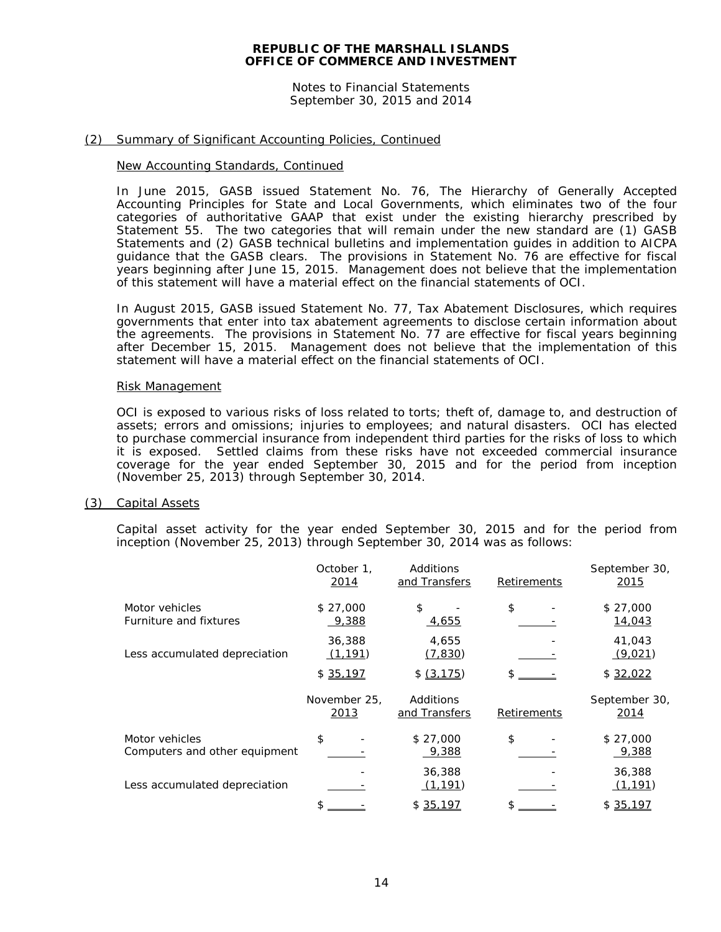Notes to Financial Statements September 30, 2015 and 2014

#### (2) Summary of Significant Accounting Policies, Continued

#### New Accounting Standards, Continued

In June 2015, GASB issued Statement No. 76, *The Hierarchy of Generally Accepted Accounting Principles for State and Local Governments*, which eliminates two of the four categories of authoritative GAAP that exist under the existing hierarchy prescribed by Statement 55. The two categories that will remain under the new standard are (1) GASB Statements and (2) GASB technical bulletins and implementation guides in addition to AICPA guidance that the GASB clears. The provisions in Statement No. 76 are effective for fiscal years beginning after June 15, 2015. Management does not believe that the implementation of this statement will have a material effect on the financial statements of OCI.

In August 2015, GASB issued Statement No. 77, *Tax Abatement Disclosures*, which requires governments that enter into tax abatement agreements to disclose certain information about the agreements. The provisions in Statement No. 77 are effective for fiscal years beginning after December 15, 2015. Management does not believe that the implementation of this statement will have a material effect on the financial statements of OCI.

#### Risk Management

OCI is exposed to various risks of loss related to torts; theft of, damage to, and destruction of assets; errors and omissions; injuries to employees; and natural disasters. OCI has elected to purchase commercial insurance from independent third parties for the risks of loss to which it is exposed. Settled claims from these risks have not exceeded commercial insurance coverage for the year ended September 30, 2015 and for the period from inception (November 25, 2013) through September 30, 2014.

#### (3) Capital Assets

Capital asset activity for the year ended September 30, 2015 and for the period from inception (November 25, 2013) through September 30, 2014 was as follows:

|                                                 | October 1.<br>2014   | Additions<br>and Transfers | Retirements | September 30,<br>2015 |
|-------------------------------------------------|----------------------|----------------------------|-------------|-----------------------|
| Motor vehicles<br>Furniture and fixtures        | \$27,000<br>9,388    | \$<br><u>4,655</u>         | \$          | \$27,000<br>14,043    |
| Less accumulated depreciation                   | 36,388<br>(1, 191)   | 4,655<br>(7, 830)          |             | 41,043<br>(9,021)     |
|                                                 | \$35,197             | \$ (3, 175)                |             | \$32,022              |
|                                                 | November 25,<br>2013 | Additions<br>and Transfers | Retirements | September 30,<br>2014 |
| Motor vehicles<br>Computers and other equipment | \$                   | \$27,000<br>9,388          | \$          | \$27,000<br>9,388     |
| Less accumulated depreciation                   |                      | 36,388<br>(1, 191)         |             | 36,388<br>(1, 191)    |
|                                                 | ፍ                    | \$35,197                   |             | \$35,197              |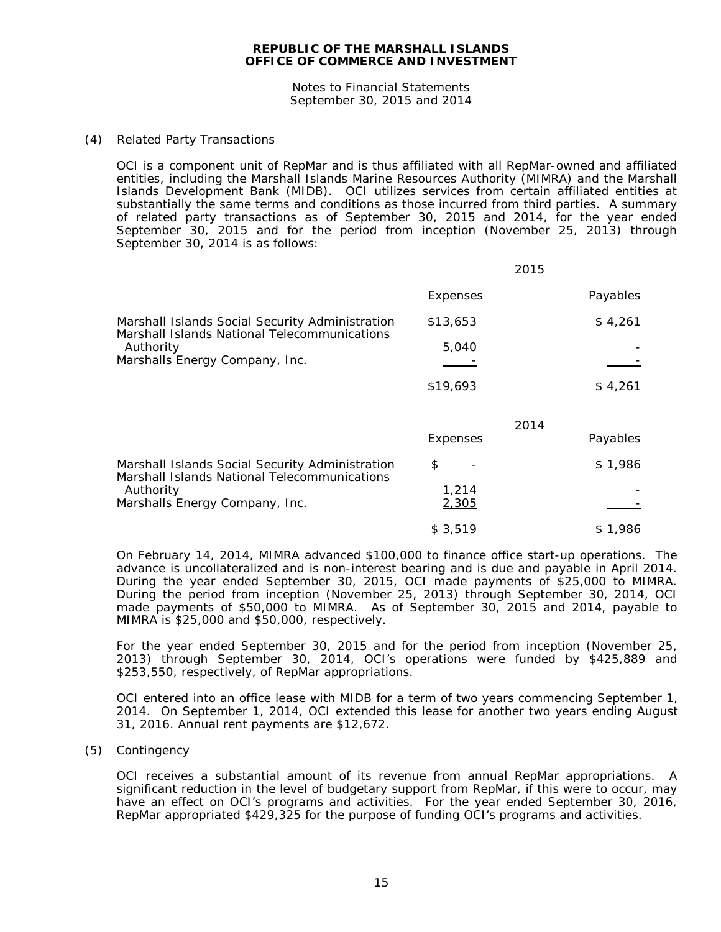Notes to Financial Statements September 30, 2015 and 2014

#### (4) Related Party Transactions

OCI is a component unit of RepMar and is thus affiliated with all RepMar-owned and affiliated entities, including the Marshall Islands Marine Resources Authority (MIMRA) and the Marshall Islands Development Bank (MIDB). OCI utilizes services from certain affiliated entities at substantially the same terms and conditions as those incurred from third parties. A summary of related party transactions as of September 30, 2015 and 2014, for the year ended September 30, 2015 and for the period from inception (November 25, 2013) through September 30, 2014 is as follows:

 $2015$ 

|                                                                                                 | 2015            |          |
|-------------------------------------------------------------------------------------------------|-----------------|----------|
|                                                                                                 | <b>Expenses</b> | Payables |
| Marshall Islands Social Security Administration<br>Marshall Islands National Telecommunications | \$13,653        | \$4,261  |
| Authority                                                                                       | 5.040           |          |
| Marshalls Energy Company, Inc.                                                                  |                 |          |
|                                                                                                 | \$19,693        | \$4,261  |

|                                                                                                                                                | 2014                |          |
|------------------------------------------------------------------------------------------------------------------------------------------------|---------------------|----------|
|                                                                                                                                                | <b>Expenses</b>     | Payables |
| Marshall Islands Social Security Administration<br>Marshall Islands National Telecommunications<br>Authority<br>Marshalls Energy Company, Inc. | S<br>1.214<br>2,305 | \$1,986  |
|                                                                                                                                                | \$ 3,519            |          |

On February 14, 2014, MIMRA advanced \$100,000 to finance office start-up operations. The advance is uncollateralized and is non-interest bearing and is due and payable in April 2014. During the year ended September 30, 2015, OCI made payments of \$25,000 to MIMRA. During the period from inception (November 25, 2013) through September 30, 2014, OCI made payments of \$50,000 to MIMRA. As of September 30, 2015 and 2014, payable to MIMRA is \$25,000 and \$50,000, respectively.

For the year ended September 30, 2015 and for the period from inception (November 25, 2013) through September 30, 2014, OCI's operations were funded by \$425,889 and \$253,550, respectively, of RepMar appropriations.

OCI entered into an office lease with MIDB for a term of two years commencing September 1, 2014. On September 1, 2014, OCI extended this lease for another two years ending August 31, 2016. Annual rent payments are \$12,672.

(5) Contingency

OCI receives a substantial amount of its revenue from annual RepMar appropriations. A significant reduction in the level of budgetary support from RepMar, if this were to occur, may have an effect on OCI's programs and activities. For the year ended September 30, 2016, RepMar appropriated \$429,325 for the purpose of funding OCI's programs and activities.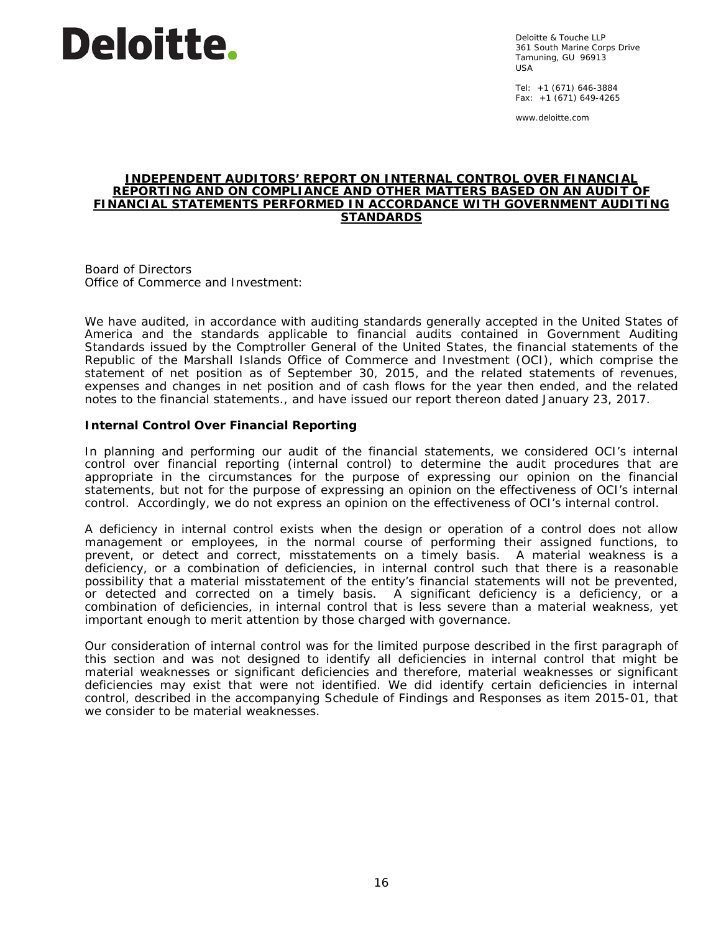# **Deloitte**.

Deloitte & Touche LLP 361 South Marine Corps Drive Tamuning, GU 96913 USA

Tel: +1 (671) 646-3884 Fax:  $+1$  (671) 649-4265

www.deloitte.com

#### **INDEPENDENT AUDITORS' REPORT ON INTERNAL CONTROL OVER FINANCIAL REPORTING AND ON COMPLIANCE AND OTHER MATTERS BASED ON AN AUDIT OF FINANCIAL STATEMENTS PERFORMED IN ACCORDANCE WITH** *GOVERNMENT AUDITING STANDARDS*

Board of Directors Office of Commerce and Investment:

We have audited, in accordance with auditing standards generally accepted in the United States of America and the standards applicable to financial audits contained in *Government Auditing Standards* issued by the Comptroller General of the United States, the financial statements of the Republic of the Marshall Islands Office of Commerce and Investment (OCI), which comprise the statement of net position as of September 30, 2015, and the related statements of revenues, expenses and changes in net position and of cash flows for the year then ended, and the related notes to the financial statements., and have issued our report thereon dated January 23, 2017.

# **Internal Control Over Financial Reporting**

In planning and performing our audit of the financial statements, we considered OCI's internal control over financial reporting (internal control) to determine the audit procedures that are appropriate in the circumstances for the purpose of expressing our opinion on the financial statements, but not for the purpose of expressing an opinion on the effectiveness of OCI's internal control. Accordingly, we do not express an opinion on the effectiveness of OCI's internal control.

A *deficiency in internal control* exists when the design or operation of a control does not allow management or employees, in the normal course of performing their assigned functions, to prevent, or detect and correct, misstatements on a timely basis. A *material weakness* is a deficiency, or a combination of deficiencies, in internal control such that there is a reasonable possibility that a material misstatement of the entity's financial statements will not be prevented, or detected and corrected on a timely basis. A *significant deficiency* is a deficiency, or a combination of deficiencies, in internal control that is less severe than a material weakness, yet important enough to merit attention by those charged with governance.

Our consideration of internal control was for the limited purpose described in the first paragraph of this section and was not designed to identify all deficiencies in internal control that might be material weaknesses or significant deficiencies and therefore, material weaknesses or significant deficiencies may exist that were not identified. We did identify certain deficiencies in internal control, described in the accompanying Schedule of Findings and Responses as item 2015-01, that we consider to be material weaknesses.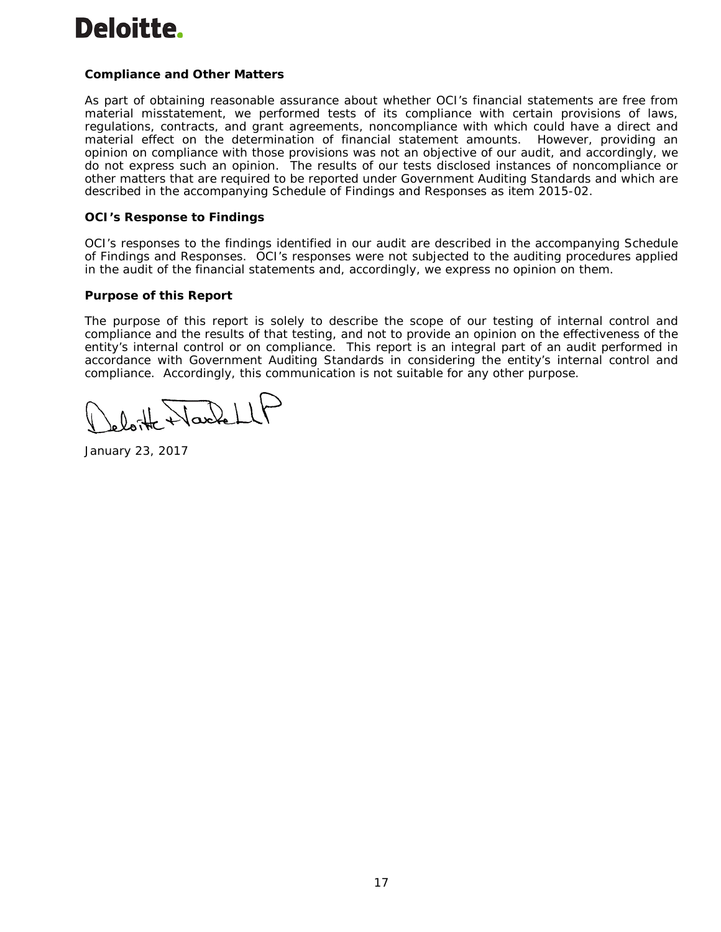# **Deloitte.**

# **Compliance and Other Matters**

As part of obtaining reasonable assurance about whether OCI's financial statements are free from material misstatement, we performed tests of its compliance with certain provisions of laws, regulations, contracts, and grant agreements, noncompliance with which could have a direct and material effect on the determination of financial statement amounts. However, providing an opinion on compliance with those provisions was not an objective of our audit, and accordingly, we do not express such an opinion. The results of our tests disclosed instances of noncompliance or other matters that are required to be reported under *Government Auditing Standards* and which are described in the accompanying Schedule of Findings and Responses as item 2015-02.

# **OCI's Response to Findings**

OCI's responses to the findings identified in our audit are described in the accompanying Schedule of Findings and Responses. OCI's responses were not subjected to the auditing procedures applied in the audit of the financial statements and, accordingly, we express no opinion on them.

# **Purpose of this Report**

The purpose of this report is solely to describe the scope of our testing of internal control and compliance and the results of that testing, and not to provide an opinion on the effectiveness of the entity's internal control or on compliance. This report is an integral part of an audit performed in accordance with *Government Auditing Standards* in considering the entity's internal control and compliance. Accordingly, this communication is not suitable for any other purpose.

loite Wackell

January 23, 2017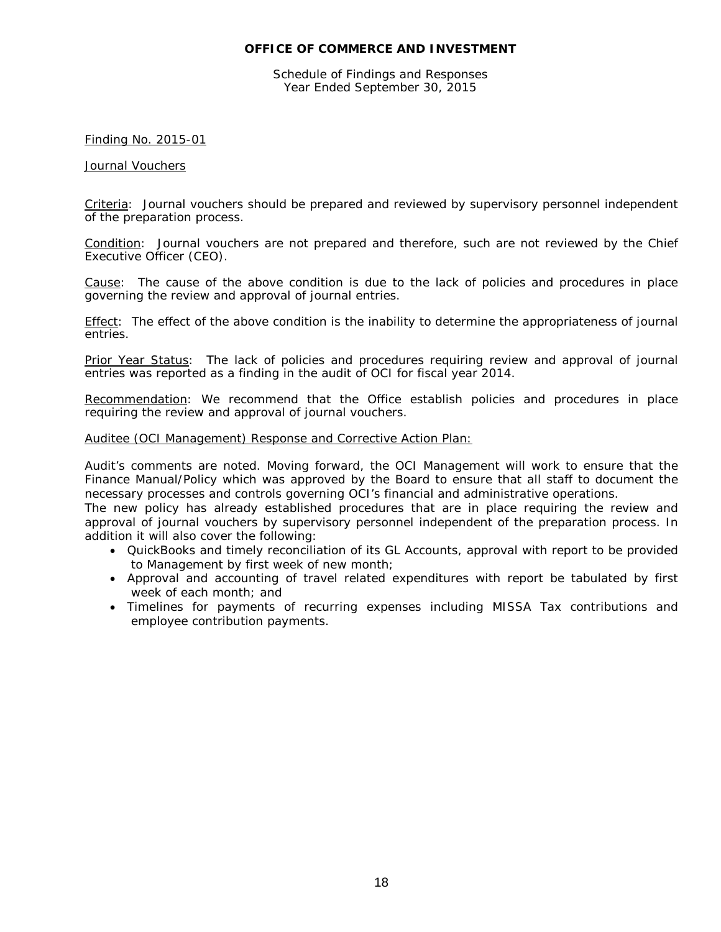# **OFFICE OF COMMERCE AND INVESTMENT**

Schedule of Findings and Responses Year Ended September 30, 2015

# Finding No. 2015-01

#### Journal Vouchers

Criteria: Journal vouchers should be prepared and reviewed by supervisory personnel independent of the preparation process.

Condition: Journal vouchers are not prepared and therefore, such are not reviewed by the Chief Executive Officer (CEO).

Cause: The cause of the above condition is due to the lack of policies and procedures in place governing the review and approval of journal entries.

Effect: The effect of the above condition is the inability to determine the appropriateness of journal entries.

Prior Year Status: The lack of policies and procedures requiring review and approval of journal entries was reported as a finding in the audit of OCI for fiscal year 2014.

Recommendation: We recommend that the Office establish policies and procedures in place requiring the review and approval of journal vouchers.

#### Auditee (OCI Management) Response and Corrective Action Plan:

Audit's comments are noted. Moving forward, the OCI Management will work to ensure that the Finance Manual/Policy which was approved by the Board to ensure that all staff to document the necessary processes and controls governing OCI's financial and administrative operations.

The new policy has already established procedures that are in place requiring the review and approval of journal vouchers by supervisory personnel independent of the preparation process. In addition it will also cover the following:

- QuickBooks and timely reconciliation of its GL Accounts, approval with report to be provided to Management by first week of new month;
- Approval and accounting of travel related expenditures with report be tabulated by first week of each month; and
- Timelines for payments of recurring expenses including MISSA Tax contributions and employee contribution payments.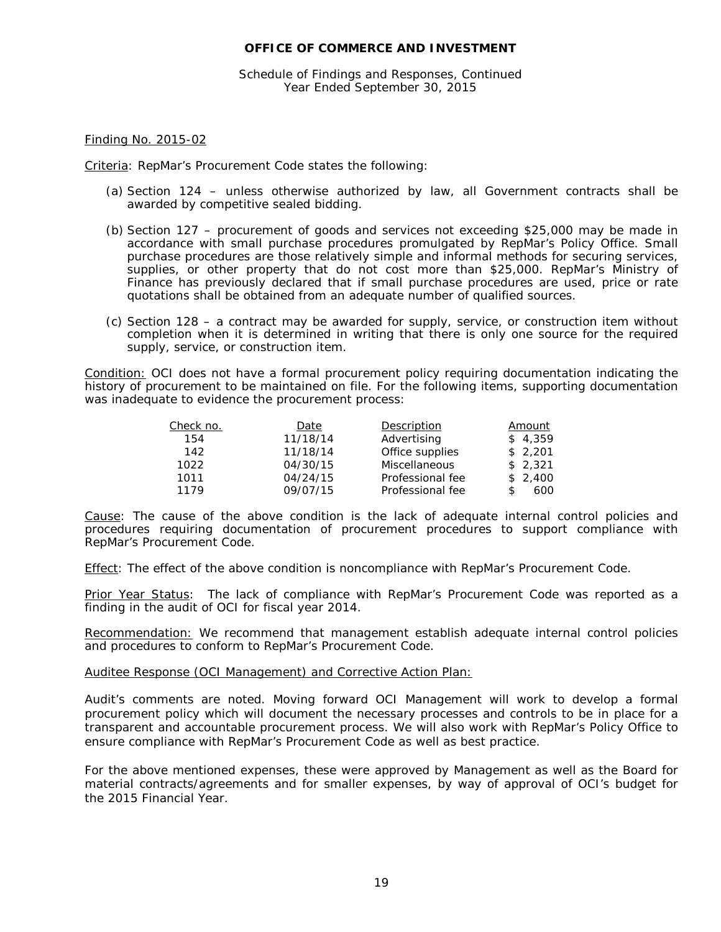# **OFFICE OF COMMERCE AND INVESTMENT**

Schedule of Findings and Responses, Continued Year Ended September 30, 2015

#### Finding No. 2015-02

Criteria: RepMar's Procurement Code states the following:

- (a) Section 124 unless otherwise authorized by law, all Government contracts shall be awarded by competitive sealed bidding.
- (b) Section 127 procurement of goods and services not exceeding \$25,000 may be made in accordance with small purchase procedures promulgated by RepMar's Policy Office. Small purchase procedures are those relatively simple and informal methods for securing services, supplies, or other property that do not cost more than \$25,000. RepMar's Ministry of Finance has previously declared that if small purchase procedures are used, price or rate quotations shall be obtained from an adequate number of qualified sources.
- (c) Section 128 a contract may be awarded for supply, service, or construction item without completion when it is determined in writing that there is only one source for the required supply, service, or construction item.

Condition: OCI does not have a formal procurement policy requiring documentation indicating the history of procurement to be maintained on file. For the following items, supporting documentation was inadequate to evidence the procurement process:

| Check no. | Date     | Description      | Amount  |
|-----------|----------|------------------|---------|
| 154       | 11/18/14 | Advertising      | \$4.359 |
| 142       | 11/18/14 | Office supplies  | \$2,201 |
| 1022      | 04/30/15 | Miscellaneous    | \$2.321 |
| 1011      | 04/24/15 | Professional fee | \$2,400 |
| 1179      | 09/07/15 | Professional fee | 600     |

Cause: The cause of the above condition is the lack of adequate internal control policies and procedures requiring documentation of procurement procedures to support compliance with RepMar's Procurement Code.

Effect: The effect of the above condition is noncompliance with RepMar's Procurement Code.

Prior Year Status: The lack of compliance with RepMar's Procurement Code was reported as a finding in the audit of OCI for fiscal year 2014.

Recommendation: We recommend that management establish adequate internal control policies and procedures to conform to RepMar's Procurement Code.

#### Auditee Response (OCI Management) and Corrective Action Plan:

Audit's comments are noted. Moving forward OCI Management will work to develop a formal procurement policy which will document the necessary processes and controls to be in place for a transparent and accountable procurement process. We will also work with RepMar's Policy Office to ensure compliance with RepMar's Procurement Code as well as best practice.

For the above mentioned expenses, these were approved by Management as well as the Board for material contracts/agreements and for smaller expenses, by way of approval of OCI's budget for the 2015 Financial Year.